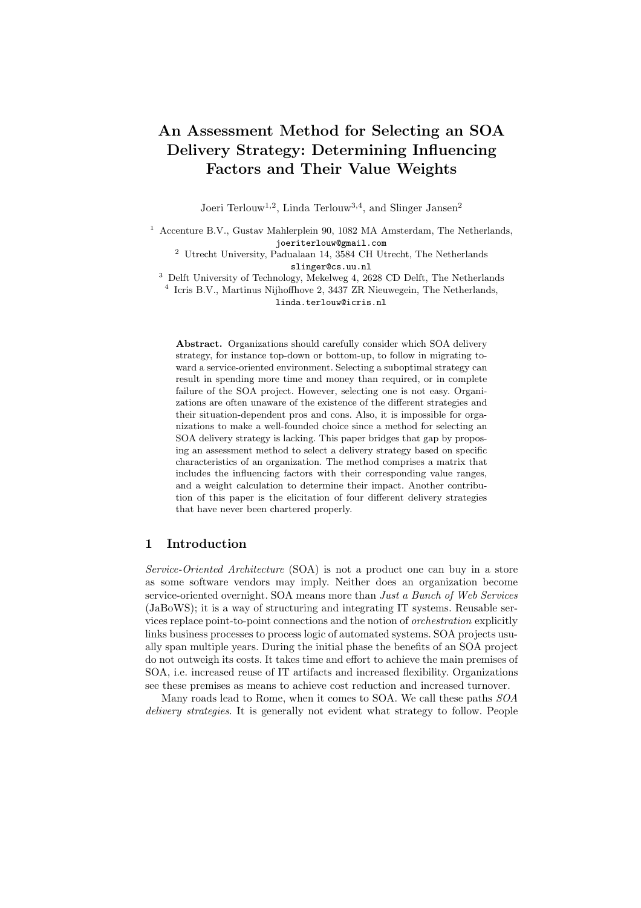# An Assessment Method for Selecting an SOA Delivery Strategy: Determining Influencing Factors and Their Value Weights

Joeri Terlouw<sup>1,2</sup>, Linda Terlouw<sup>3,4</sup>, and Slinger Jansen<sup>2</sup>

<sup>1</sup> Accenture B.V., Gustav Mahlerplein 90, 1082 MA Amsterdam, The Netherlands, joeriterlouw@gmail.com

 $^2$  Utrecht University, Padualaan 14, 3584 CH Utrecht, The Netherlands slinger@cs.uu.nl

<sup>3</sup> Delft University of Technology, Mekelweg 4, 2628 CD Delft, The Netherlands

4 Icris B.V., Martinus Nijhoffhove 2, 3437 ZR Nieuwegein, The Netherlands, linda.terlouw@icris.nl

Abstract. Organizations should carefully consider which SOA delivery strategy, for instance top-down or bottom-up, to follow in migrating toward a service-oriented environment. Selecting a suboptimal strategy can result in spending more time and money than required, or in complete failure of the SOA project. However, selecting one is not easy. Organizations are often unaware of the existence of the different strategies and their situation-dependent pros and cons. Also, it is impossible for organizations to make a well-founded choice since a method for selecting an SOA delivery strategy is lacking. This paper bridges that gap by proposing an assessment method to select a delivery strategy based on specific characteristics of an organization. The method comprises a matrix that includes the influencing factors with their corresponding value ranges, and a weight calculation to determine their impact. Another contribution of this paper is the elicitation of four different delivery strategies that have never been chartered properly.

## 1 Introduction

Service-Oriented Architecture (SOA) is not a product one can buy in a store as some software vendors may imply. Neither does an organization become service-oriented overnight. SOA means more than *Just a Bunch of Web Services* (JaBoWS); it is a way of structuring and integrating IT systems. Reusable services replace point-to-point connections and the notion of orchestration explicitly links business processes to process logic of automated systems. SOA projects usually span multiple years. During the initial phase the benefits of an SOA project do not outweigh its costs. It takes time and effort to achieve the main premises of SOA, i.e. increased reuse of IT artifacts and increased flexibility. Organizations see these premises as means to achieve cost reduction and increased turnover.

Many roads lead to Rome, when it comes to SOA. We call these paths SOA delivery strategies. It is generally not evident what strategy to follow. People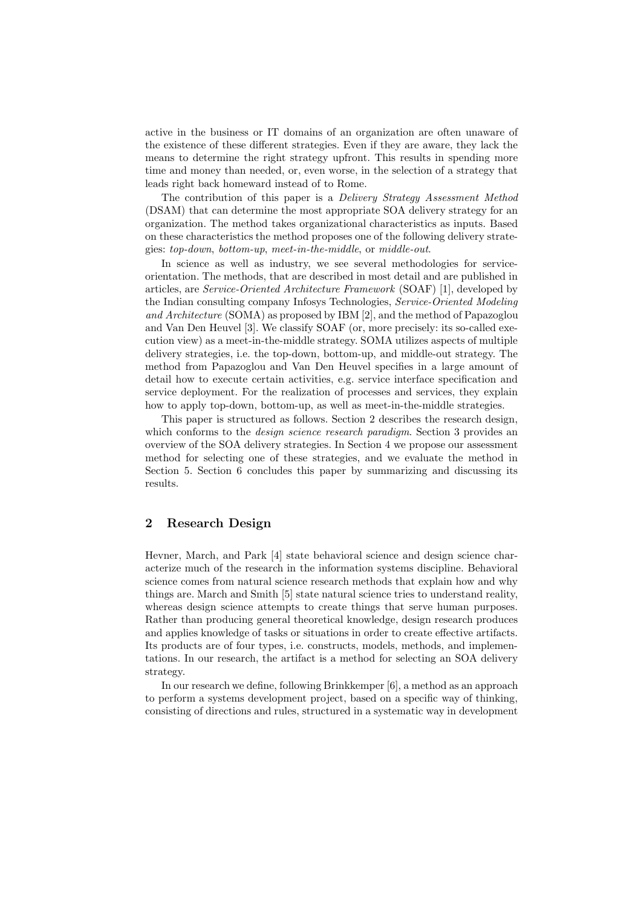active in the business or IT domains of an organization are often unaware of the existence of these different strategies. Even if they are aware, they lack the means to determine the right strategy upfront. This results in spending more time and money than needed, or, even worse, in the selection of a strategy that leads right back homeward instead of to Rome.

The contribution of this paper is a Delivery Strategy Assessment Method (DSAM) that can determine the most appropriate SOA delivery strategy for an organization. The method takes organizational characteristics as inputs. Based on these characteristics the method proposes one of the following delivery strategies: top-down, bottom-up, meet-in-the-middle, or middle-out.

In science as well as industry, we see several methodologies for serviceorientation. The methods, that are described in most detail and are published in articles, are Service-Oriented Architecture Framework (SOAF) [1], developed by the Indian consulting company Infosys Technologies, Service-Oriented Modeling and Architecture (SOMA) as proposed by IBM [2], and the method of Papazoglou and Van Den Heuvel [3]. We classify SOAF (or, more precisely: its so-called execution view) as a meet-in-the-middle strategy. SOMA utilizes aspects of multiple delivery strategies, i.e. the top-down, bottom-up, and middle-out strategy. The method from Papazoglou and Van Den Heuvel specifies in a large amount of detail how to execute certain activities, e.g. service interface specification and service deployment. For the realization of processes and services, they explain how to apply top-down, bottom-up, as well as meet-in-the-middle strategies.

This paper is structured as follows. Section 2 describes the research design, which conforms to the *design science research paradigm*. Section 3 provides an overview of the SOA delivery strategies. In Section 4 we propose our assessment method for selecting one of these strategies, and we evaluate the method in Section 5. Section 6 concludes this paper by summarizing and discussing its results.

# 2 Research Design

Hevner, March, and Park [4] state behavioral science and design science characterize much of the research in the information systems discipline. Behavioral science comes from natural science research methods that explain how and why things are. March and Smith [5] state natural science tries to understand reality, whereas design science attempts to create things that serve human purposes. Rather than producing general theoretical knowledge, design research produces and applies knowledge of tasks or situations in order to create effective artifacts. Its products are of four types, i.e. constructs, models, methods, and implementations. In our research, the artifact is a method for selecting an SOA delivery strategy.

In our research we define, following Brinkkemper [6], a method as an approach to perform a systems development project, based on a specific way of thinking, consisting of directions and rules, structured in a systematic way in development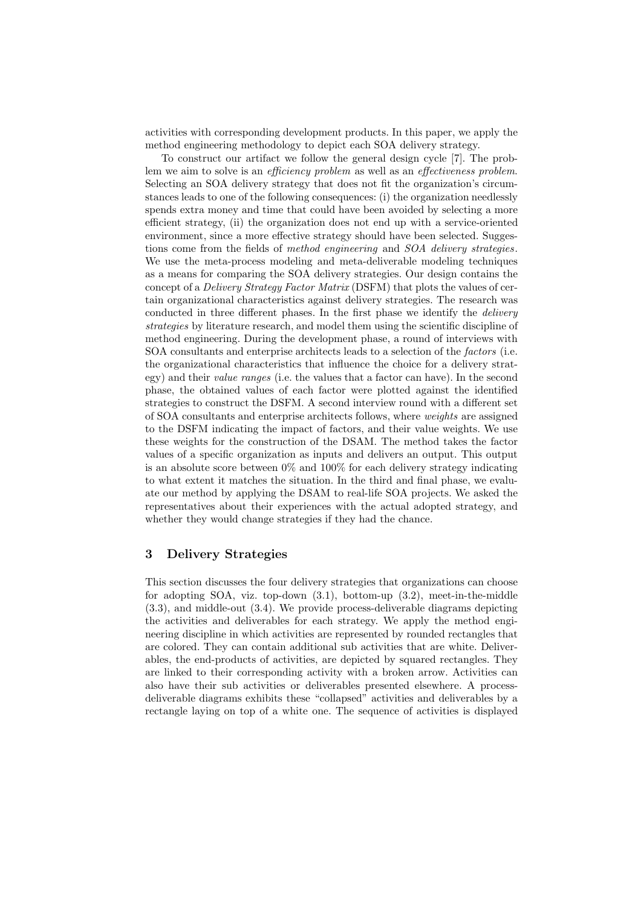activities with corresponding development products. In this paper, we apply the method engineering methodology to depict each SOA delivery strategy.

To construct our artifact we follow the general design cycle [7]. The problem we aim to solve is an *efficiency problem* as well as an *effectiveness problem*. Selecting an SOA delivery strategy that does not fit the organization's circumstances leads to one of the following consequences: (i) the organization needlessly spends extra money and time that could have been avoided by selecting a more efficient strategy, (ii) the organization does not end up with a service-oriented environment, since a more effective strategy should have been selected. Suggestions come from the fields of method engineering and SOA delivery strategies. We use the meta-process modeling and meta-deliverable modeling techniques as a means for comparing the SOA delivery strategies. Our design contains the concept of a Delivery Strategy Factor Matrix (DSFM) that plots the values of certain organizational characteristics against delivery strategies. The research was conducted in three different phases. In the first phase we identify the *delivery* strategies by literature research, and model them using the scientific discipline of method engineering. During the development phase, a round of interviews with SOA consultants and enterprise architects leads to a selection of the factors (i.e. the organizational characteristics that influence the choice for a delivery strategy) and their value ranges (i.e. the values that a factor can have). In the second phase, the obtained values of each factor were plotted against the identified strategies to construct the DSFM. A second interview round with a different set of SOA consultants and enterprise architects follows, where weights are assigned to the DSFM indicating the impact of factors, and their value weights. We use these weights for the construction of the DSAM. The method takes the factor values of a specific organization as inputs and delivers an output. This output is an absolute score between  $0\%$  and  $100\%$  for each delivery strategy indicating to what extent it matches the situation. In the third and final phase, we evaluate our method by applying the DSAM to real-life SOA projects. We asked the representatives about their experiences with the actual adopted strategy, and whether they would change strategies if they had the chance.

# 3 Delivery Strategies

This section discusses the four delivery strategies that organizations can choose for adopting SOA, viz. top-down (3.1), bottom-up (3.2), meet-in-the-middle (3.3), and middle-out (3.4). We provide process-deliverable diagrams depicting the activities and deliverables for each strategy. We apply the method engineering discipline in which activities are represented by rounded rectangles that are colored. They can contain additional sub activities that are white. Deliverables, the end-products of activities, are depicted by squared rectangles. They are linked to their corresponding activity with a broken arrow. Activities can also have their sub activities or deliverables presented elsewhere. A processdeliverable diagrams exhibits these "collapsed" activities and deliverables by a rectangle laying on top of a white one. The sequence of activities is displayed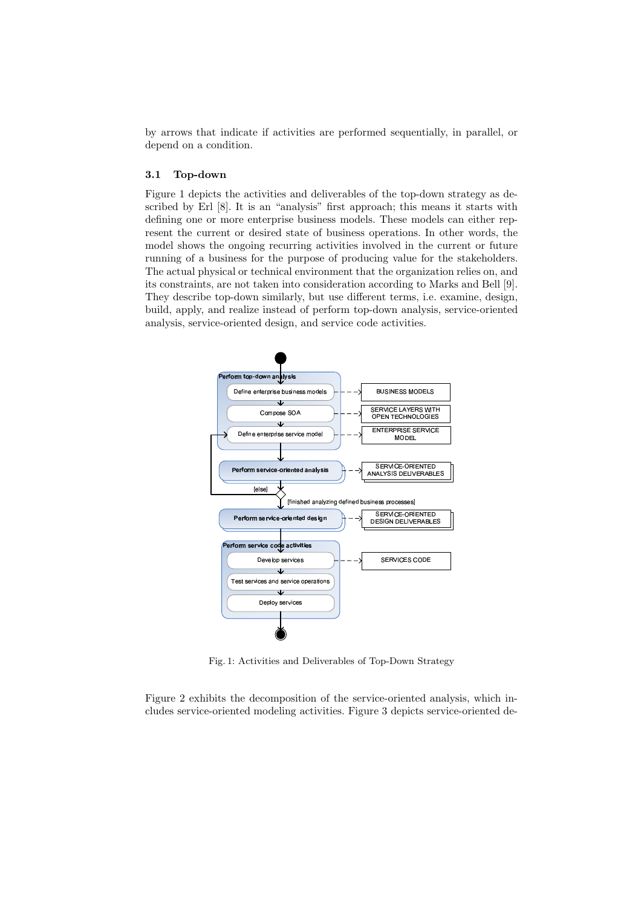by arrows that indicate if activities are performed sequentially, in parallel, or depend on a condition.

#### 3.1 Top-down

Figure 1 depicts the activities and deliverables of the top-down strategy as described by Erl [8]. It is an "analysis" first approach; this means it starts with defining one or more enterprise business models. These models can either represent the current or desired state of business operations. In other words, the model shows the ongoing recurring activities involved in the current or future running of a business for the purpose of producing value for the stakeholders. The actual physical or technical environment that the organization relies on, and its constraints, are not taken into consideration according to Marks and Bell [9]. They describe top-down similarly, but use different terms, i.e. examine, design, build, apply, and realize instead of perform top-down analysis, service-oriented analysis, service-oriented design, and service code activities.



Fig. 1: Activities and Deliverables of Top-Down Strategy

Figure 2 exhibits the decomposition of the service-oriented analysis, which includes service-oriented modeling activities. Figure 3 depicts service-oriented de-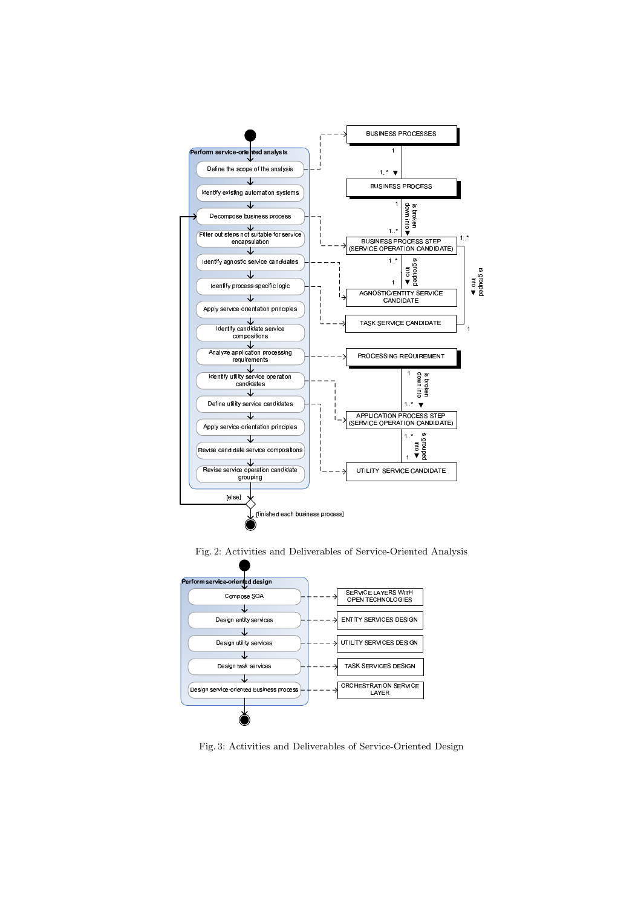

Fig. 2: Activities and Deliverables of Service-Oriented Analysis



Fig. 3: Activities and Deliverables of Service-Oriented Design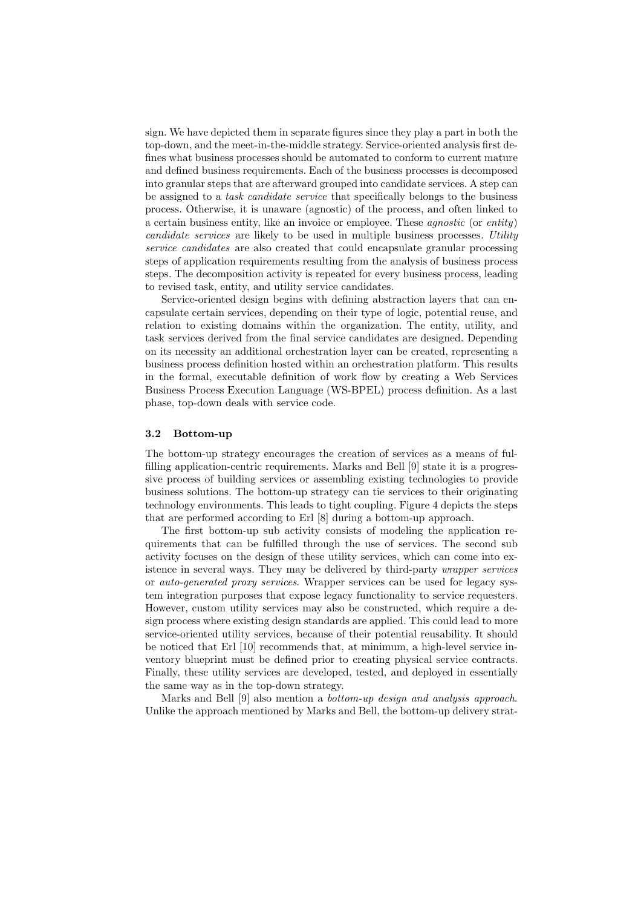sign. We have depicted them in separate figures since they play a part in both the top-down, and the meet-in-the-middle strategy. Service-oriented analysis first defines what business processes should be automated to conform to current mature and defined business requirements. Each of the business processes is decomposed into granular steps that are afterward grouped into candidate services. A step can be assigned to a *task candidate service* that specifically belongs to the business process. Otherwise, it is unaware (agnostic) of the process, and often linked to a certain business entity, like an invoice or employee. These agnostic (or entity) candidate services are likely to be used in multiple business processes. Utility service candidates are also created that could encapsulate granular processing steps of application requirements resulting from the analysis of business process steps. The decomposition activity is repeated for every business process, leading to revised task, entity, and utility service candidates.

Service-oriented design begins with defining abstraction layers that can encapsulate certain services, depending on their type of logic, potential reuse, and relation to existing domains within the organization. The entity, utility, and task services derived from the final service candidates are designed. Depending on its necessity an additional orchestration layer can be created, representing a business process definition hosted within an orchestration platform. This results in the formal, executable definition of work flow by creating a Web Services Business Process Execution Language (WS-BPEL) process definition. As a last phase, top-down deals with service code.

#### 3.2 Bottom-up

The bottom-up strategy encourages the creation of services as a means of fulfilling application-centric requirements. Marks and Bell [9] state it is a progressive process of building services or assembling existing technologies to provide business solutions. The bottom-up strategy can tie services to their originating technology environments. This leads to tight coupling. Figure 4 depicts the steps that are performed according to Erl [8] during a bottom-up approach.

The first bottom-up sub activity consists of modeling the application requirements that can be fulfilled through the use of services. The second sub activity focuses on the design of these utility services, which can come into existence in several ways. They may be delivered by third-party wrapper services or auto-generated proxy services. Wrapper services can be used for legacy system integration purposes that expose legacy functionality to service requesters. However, custom utility services may also be constructed, which require a design process where existing design standards are applied. This could lead to more service-oriented utility services, because of their potential reusability. It should be noticed that Erl [10] recommends that, at minimum, a high-level service inventory blueprint must be defined prior to creating physical service contracts. Finally, these utility services are developed, tested, and deployed in essentially the same way as in the top-down strategy.

Marks and Bell [9] also mention a bottom-up design and analysis approach. Unlike the approach mentioned by Marks and Bell, the bottom-up delivery strat-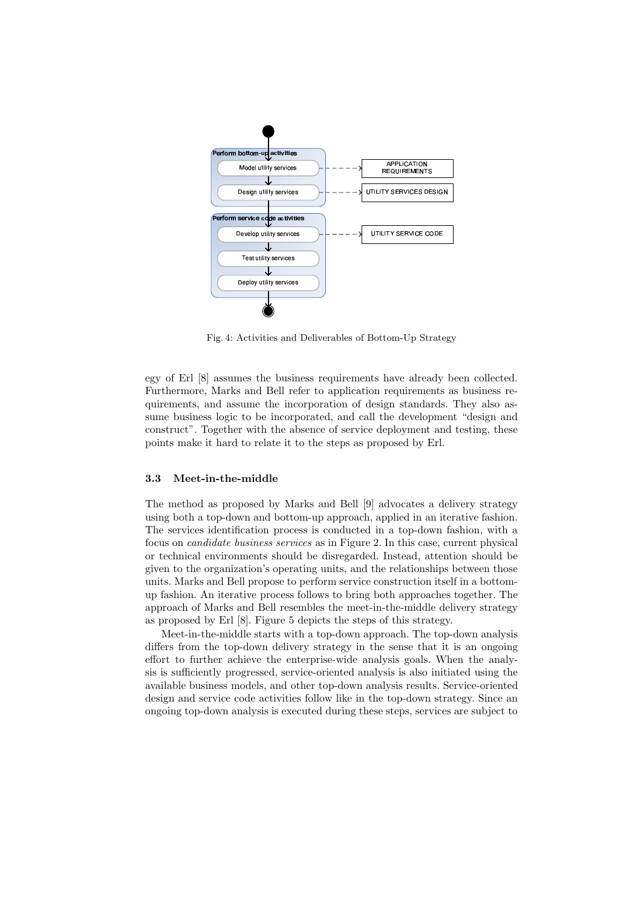

Fig. 4: Activities and Deliverables of Bottom-Up Strategy

egy of Erl [8] assumes the business requirements have already been collected. Furthermore, Marks and Bell refer to application requirements as business requirements, and assume the incorporation of design standards. They also assume business logic to be incorporated, and call the development "design and construct". Together with the absence of service deployment and testing, these points make it hard to relate it to the steps as proposed by Erl.

## 3.3 Meet-in-the-middle

The method as proposed by Marks and Bell [9] advocates a delivery strategy using both a top-down and bottom-up approach, applied in an iterative fashion. The services identification process is conducted in a top-down fashion, with a focus on candidate business services as in Figure 2. In this case, current physical or technical environments should be disregarded. Instead, attention should be given to the organization's operating units, and the relationships between those units. Marks and Bell propose to perform service construction itself in a bottomup fashion. An iterative process follows to bring both approaches together. The approach of Marks and Bell resembles the meet-in-the-middle delivery strategy as proposed by Erl [8]. Figure 5 depicts the steps of this strategy.

Meet-in-the-middle starts with a top-down approach. The top-down analysis differs from the top-down delivery strategy in the sense that it is an ongoing effort to further achieve the enterprise-wide analysis goals. When the analysis is sufficiently progressed, service-oriented analysis is also initiated using the available business models, and other top-down analysis results. Service-oriented design and service code activities follow like in the top-down strategy. Since an ongoing top-down analysis is executed during these steps, services are subject to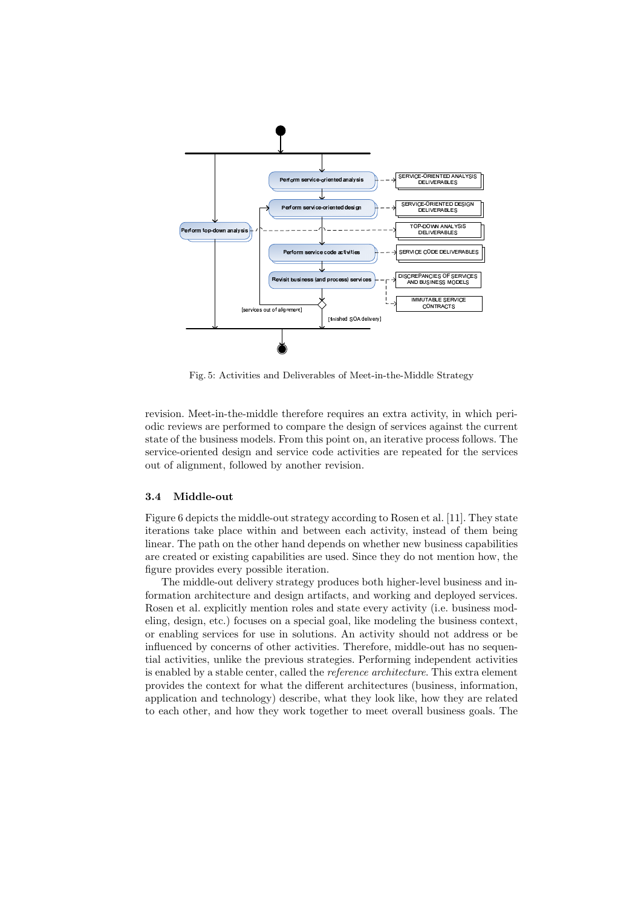

Fig. 5: Activities and Deliverables of Meet-in-the-Middle Strategy

revision. Meet-in-the-middle therefore requires an extra activity, in which periodic reviews are performed to compare the design of services against the current state of the business models. From this point on, an iterative process follows. The service-oriented design and service code activities are repeated for the services out of alignment, followed by another revision.

#### 3.4 Middle-out

Figure 6 depicts the middle-out strategy according to Rosen et al. [11]. They state iterations take place within and between each activity, instead of them being linear. The path on the other hand depends on whether new business capabilities are created or existing capabilities are used. Since they do not mention how, the figure provides every possible iteration.

The middle-out delivery strategy produces both higher-level business and information architecture and design artifacts, and working and deployed services. Rosen et al. explicitly mention roles and state every activity (i.e. business modeling, design, etc.) focuses on a special goal, like modeling the business context, or enabling services for use in solutions. An activity should not address or be influenced by concerns of other activities. Therefore, middle-out has no sequential activities, unlike the previous strategies. Performing independent activities is enabled by a stable center, called the reference architecture. This extra element provides the context for what the different architectures (business, information, application and technology) describe, what they look like, how they are related to each other, and how they work together to meet overall business goals. The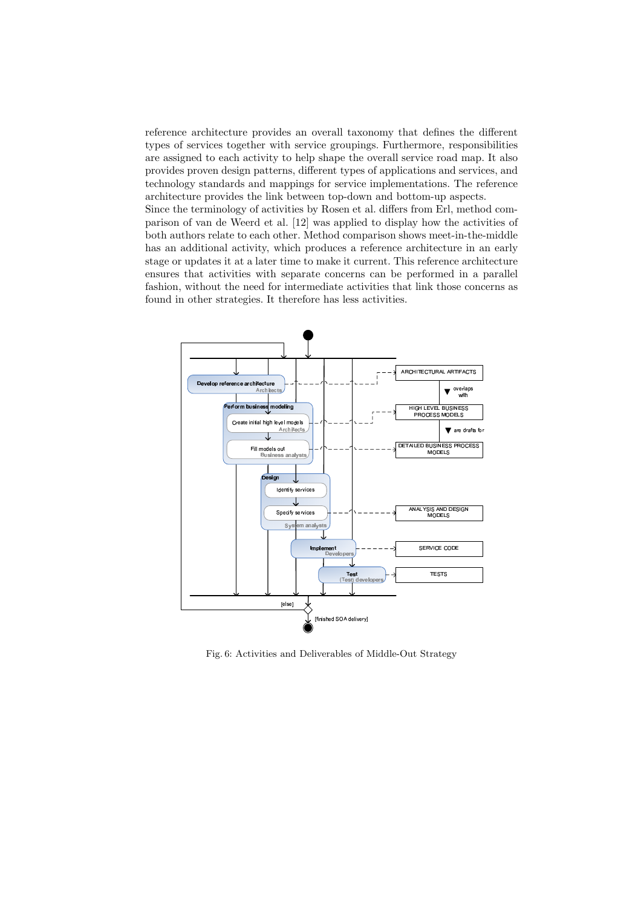reference architecture provides an overall taxonomy that defines the different types of services together with service groupings. Furthermore, responsibilities are assigned to each activity to help shape the overall service road map. It also provides proven design patterns, different types of applications and services, and technology standards and mappings for service implementations. The reference architecture provides the link between top-down and bottom-up aspects. Since the terminology of activities by Rosen et al. differs from Erl, method comparison of van de Weerd et al. [12] was applied to display how the activities of both authors relate to each other. Method comparison shows meet-in-the-middle has an additional activity, which produces a reference architecture in an early

stage or updates it at a later time to make it current. This reference architecture ensures that activities with separate concerns can be performed in a parallel fashion, without the need for intermediate activities that link those concerns as found in other strategies. It therefore has less activities.



Fig. 6: Activities and Deliverables of Middle-Out Strategy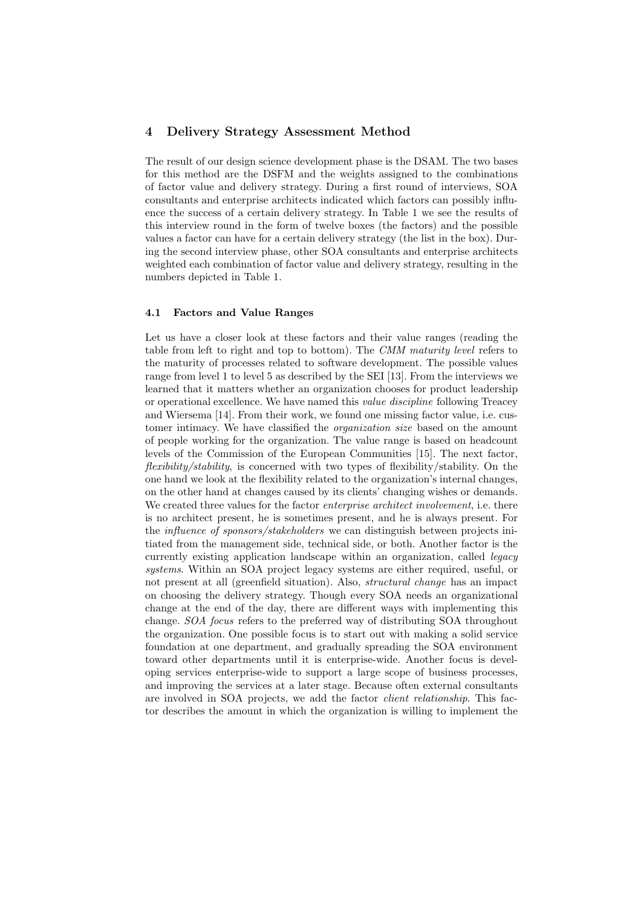# 4 Delivery Strategy Assessment Method

The result of our design science development phase is the DSAM. The two bases for this method are the DSFM and the weights assigned to the combinations of factor value and delivery strategy. During a first round of interviews, SOA consultants and enterprise architects indicated which factors can possibly influence the success of a certain delivery strategy. In Table 1 we see the results of this interview round in the form of twelve boxes (the factors) and the possible values a factor can have for a certain delivery strategy (the list in the box). During the second interview phase, other SOA consultants and enterprise architects weighted each combination of factor value and delivery strategy, resulting in the numbers depicted in Table 1.

#### 4.1 Factors and Value Ranges

Let us have a closer look at these factors and their value ranges (reading the table from left to right and top to bottom). The CMM maturity level refers to the maturity of processes related to software development. The possible values range from level 1 to level 5 as described by the SEI [13]. From the interviews we learned that it matters whether an organization chooses for product leadership or operational excellence. We have named this value discipline following Treacey and Wiersema [14]. From their work, we found one missing factor value, i.e. customer intimacy. We have classified the *organization size* based on the amount of people working for the organization. The value range is based on headcount levels of the Commission of the European Communities [15]. The next factor, flexibility/stability, is concerned with two types of flexibility/stability. On the one hand we look at the flexibility related to the organization's internal changes, on the other hand at changes caused by its clients' changing wishes or demands. We created three values for the factor *enterprise architect involvement*, i.e. there is no architect present, he is sometimes present, and he is always present. For the *influence of sponsors/stakeholders* we can distinguish between projects initiated from the management side, technical side, or both. Another factor is the currently existing application landscape within an organization, called legacy systems. Within an SOA project legacy systems are either required, useful, or not present at all (greenfield situation). Also, structural change has an impact on choosing the delivery strategy. Though every SOA needs an organizational change at the end of the day, there are different ways with implementing this change. SOA focus refers to the preferred way of distributing SOA throughout the organization. One possible focus is to start out with making a solid service foundation at one department, and gradually spreading the SOA environment toward other departments until it is enterprise-wide. Another focus is developing services enterprise-wide to support a large scope of business processes, and improving the services at a later stage. Because often external consultants are involved in SOA projects, we add the factor client relationship. This factor describes the amount in which the organization is willing to implement the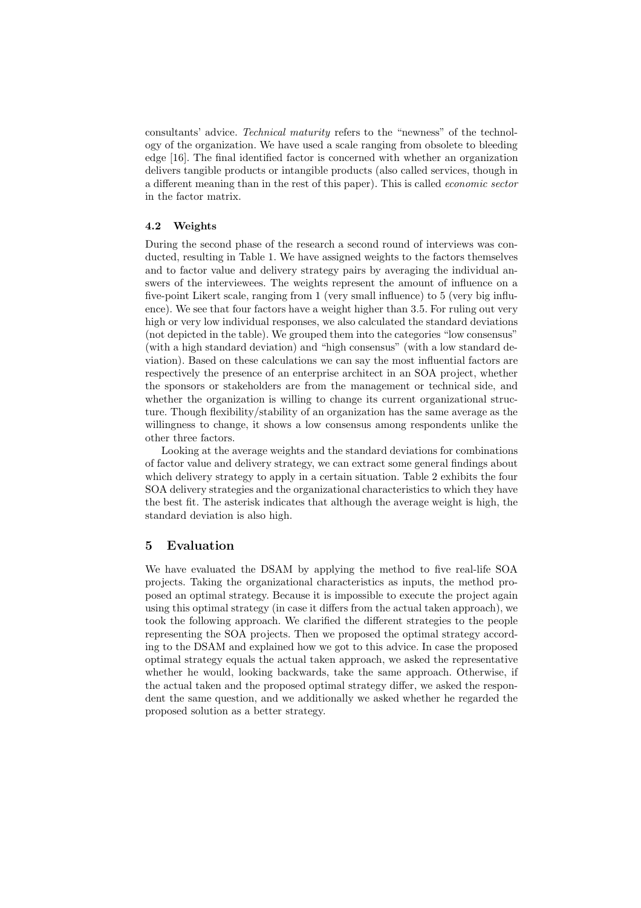consultants' advice. Technical maturity refers to the "newness" of the technology of the organization. We have used a scale ranging from obsolete to bleeding edge [16]. The final identified factor is concerned with whether an organization delivers tangible products or intangible products (also called services, though in a different meaning than in the rest of this paper). This is called economic sector in the factor matrix.

#### 4.2 Weights

During the second phase of the research a second round of interviews was conducted, resulting in Table 1. We have assigned weights to the factors themselves and to factor value and delivery strategy pairs by averaging the individual answers of the interviewees. The weights represent the amount of influence on a five-point Likert scale, ranging from 1 (very small influence) to 5 (very big influence). We see that four factors have a weight higher than 3.5. For ruling out very high or very low individual responses, we also calculated the standard deviations (not depicted in the table). We grouped them into the categories "low consensus" (with a high standard deviation) and "high consensus" (with a low standard deviation). Based on these calculations we can say the most influential factors are respectively the presence of an enterprise architect in an SOA project, whether the sponsors or stakeholders are from the management or technical side, and whether the organization is willing to change its current organizational structure. Though flexibility/stability of an organization has the same average as the willingness to change, it shows a low consensus among respondents unlike the other three factors.

Looking at the average weights and the standard deviations for combinations of factor value and delivery strategy, we can extract some general findings about which delivery strategy to apply in a certain situation. Table 2 exhibits the four SOA delivery strategies and the organizational characteristics to which they have the best fit. The asterisk indicates that although the average weight is high, the standard deviation is also high.

## 5 Evaluation

We have evaluated the DSAM by applying the method to five real-life SOA projects. Taking the organizational characteristics as inputs, the method proposed an optimal strategy. Because it is impossible to execute the project again using this optimal strategy (in case it differs from the actual taken approach), we took the following approach. We clarified the different strategies to the people representing the SOA projects. Then we proposed the optimal strategy according to the DSAM and explained how we got to this advice. In case the proposed optimal strategy equals the actual taken approach, we asked the representative whether he would, looking backwards, take the same approach. Otherwise, if the actual taken and the proposed optimal strategy differ, we asked the respondent the same question, and we additionally we asked whether he regarded the proposed solution as a better strategy.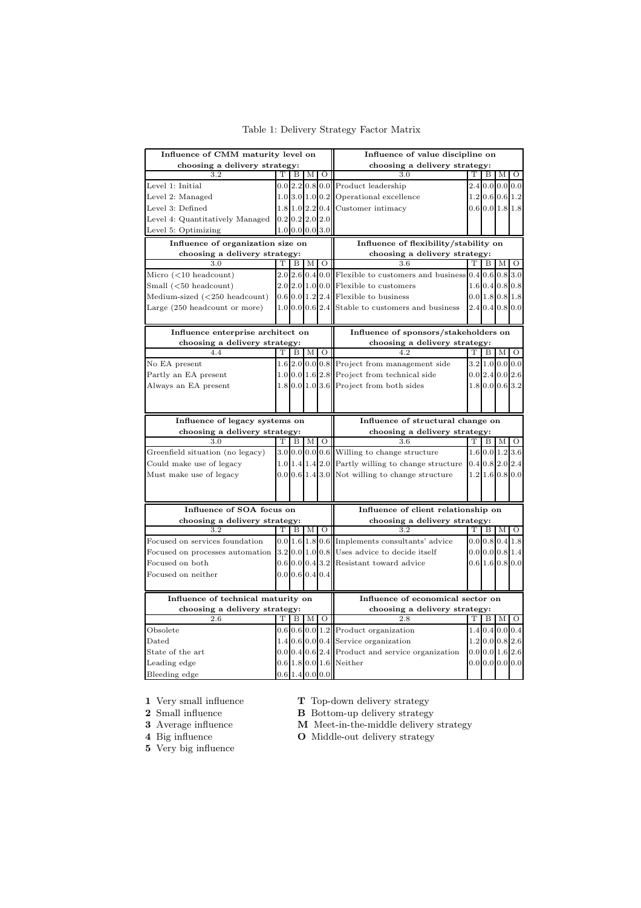| Influence of CMM maturity level on                                               |   |   |                                    | Influence of value discipline on |                                                                       |   |                     |   |         |  |
|----------------------------------------------------------------------------------|---|---|------------------------------------|----------------------------------|-----------------------------------------------------------------------|---|---------------------|---|---------|--|
| choosing a delivery strategy:                                                    |   |   | choosing a delivery strategy:<br>т |                                  |                                                                       |   |                     |   |         |  |
| 3.2                                                                              | Т | B | М                                  | $\circ$                          | 3.0                                                                   |   | B                   | М | $\circ$ |  |
| Level 1: Initial                                                                 |   |   |                                    |                                  | $0.0$  2.2 $ 0.8 0.0 $  Product leadership                            |   | $2.4$ 0.0 0.0 0.0   |   |         |  |
| Level 2: Managed                                                                 |   |   |                                    |                                  | $1.0$ 3.0 $1.0$ 0.2 Operational excellence                            |   | 1.2 0.6 0.6 1.2     |   |         |  |
| Level 3: Defined                                                                 |   |   | 1.8 1.0 2.2 0.4                    |                                  | Customer intimacy                                                     |   | $0.6$ 0.0 1.8 1.8   |   |         |  |
| Level 4: Quantitatively Managed                                                  |   |   | $0.2$ 0.2 $2.0$ 2.0                |                                  |                                                                       |   |                     |   |         |  |
| Level 5: Optimizing                                                              |   |   | $1.0$ 0.0 0.0 3.0                  |                                  |                                                                       |   |                     |   |         |  |
| Influence of organization size on                                                |   |   |                                    |                                  | Influence of flexibility/stability on                                 |   |                     |   |         |  |
| choosing a delivery strategy:                                                    |   |   |                                    |                                  | choosing a delivery strategy:                                         |   |                     |   |         |  |
| 3.0                                                                              | т | В | М                                  | $\circ$                          | 3.6                                                                   | т | B                   | М | $\circ$ |  |
| Micro $(<10$ headcount)                                                          |   |   |                                    |                                  | $2.0 2.6 0.4 0.0 $ Flexible to customers and business 0.4 0.6 0.8 3.0 |   |                     |   |         |  |
| $Small$ ( $<$ 50 headcount)                                                      |   |   |                                    |                                  | $2.0 2.0 1.0 0.0 $ Flexible to customers                              |   | 1.6 0.4 0.8 0.8     |   |         |  |
| Medium-sized $(<250$ headcount)                                                  |   |   |                                    |                                  | $0.6 0.0 1.2 2.4 $ Flexible to business                               |   | 0.01.80.81.8        |   |         |  |
| Large (250 headcount or more)                                                    |   |   |                                    |                                  | $1.0 0.0 0.6 2.4 $ Stable to customers and business                   |   | $2.4$ 0.4 0.8 0.0   |   |         |  |
|                                                                                  |   |   |                                    |                                  |                                                                       |   |                     |   |         |  |
| Influence enterprise architect on                                                |   |   |                                    |                                  | Influence of sponsors/stakeholders on                                 |   |                     |   |         |  |
| choosing a delivery strategy:                                                    |   |   |                                    |                                  | choosing a delivery strategy:                                         |   |                     |   |         |  |
| 4.4                                                                              | т | B | М                                  | $\circ$                          | 4.2                                                                   | Т | B                   | М | O       |  |
| No EA present                                                                    |   |   |                                    |                                  | $1.6$ $2.0$ $0.0$ $0.8$ Project from management side                  |   | $3.2$ 1.0 0.0 0.0   |   |         |  |
| Partly an EA present                                                             |   |   |                                    |                                  | $1.0[0.0]1.6$ 2.8 Project from technical side                         |   | $0.0$ 2.4 $0.0$ 2.6 |   |         |  |
| Always an EA present                                                             |   |   |                                    |                                  | $1.8 0.0 1.0 3.6$ Project from both sides                             |   | 1.8 0.0 0.6 3.2     |   |         |  |
|                                                                                  |   |   |                                    |                                  |                                                                       |   |                     |   |         |  |
|                                                                                  |   |   |                                    |                                  |                                                                       |   |                     |   |         |  |
|                                                                                  |   |   |                                    |                                  |                                                                       |   |                     |   |         |  |
| Influence of legacy systems on                                                   |   |   |                                    |                                  | Influence of structural change on                                     |   |                     |   |         |  |
| choosing a delivery strategy:                                                    |   |   |                                    |                                  | choosing a delivery strategy:                                         |   |                     |   |         |  |
| 3.0                                                                              | Т | B | M                                  | $\circ$                          | 3.6                                                                   | Т | B                   | М | $\circ$ |  |
| Greenfield situation (no legacy)                                                 |   |   |                                    |                                  | $3.0 0.0 0.0 0.6 $ Willing to change structure                        |   | 1.6 0.0 1.2 3.6     |   |         |  |
| Could make use of legacy                                                         |   |   |                                    |                                  | $1.0$ 1.4 $1.4$ 2.0 Partly willing to change structure                |   | $0.4$ 0.8 2.0 2.4   |   |         |  |
| Must make use of legacy                                                          |   |   |                                    |                                  | $0.0 0.6 1.4 3.0 $ Not willing to change structure                    |   | $1.2$  1.6 0.8 0.0  |   |         |  |
|                                                                                  |   |   |                                    |                                  |                                                                       |   |                     |   |         |  |
|                                                                                  |   |   |                                    |                                  |                                                                       |   |                     |   |         |  |
| Influence of SOA focus on                                                        |   |   |                                    |                                  | Influence of client relationship on                                   |   |                     |   |         |  |
| choosing a delivery strategy:                                                    |   |   |                                    |                                  | choosing a delivery strategy:                                         |   |                     |   |         |  |
| 3.2                                                                              | т | В | М                                  | $\circ$                          | 3.2                                                                   | т | В                   | М | $\circ$ |  |
| Focused on services foundation                                                   |   |   |                                    |                                  | $0.0 1.6 1.8 0.6 $ Implements consultants' advice                     |   | $0.0$ 0.8 0.4 1.8   |   |         |  |
| Focused on processes automation $ 3.2 0.0 1.0 0.8 $ Uses advice to decide itself |   |   |                                    |                                  |                                                                       |   | $0.0$ 0.0 0.8 1.4   |   |         |  |
| Focused on both                                                                  |   |   |                                    |                                  | $0.6 0.0 0.4 3.2 $ Resistant toward advice                            |   | $0.6$ 1.6 0.8 0.0   |   |         |  |
| Focused on neither                                                               |   |   | $0.0$ 0.6 0.4 0.4                  |                                  |                                                                       |   |                     |   |         |  |
|                                                                                  |   |   |                                    |                                  |                                                                       |   |                     |   |         |  |
| Influence of technical maturity on                                               |   |   |                                    |                                  | Influence of economical sector on                                     |   |                     |   |         |  |
| choosing a delivery strategy:                                                    |   |   |                                    |                                  | choosing a delivery strategy:                                         |   |                     |   |         |  |
| 2.6                                                                              | т | В | М                                  | О                                | 2.8                                                                   | т | В                   | М |         |  |
| Obsolete                                                                         |   |   |                                    |                                  | $0.6 0.6 0.0 1.2 $ Product organization                               |   | $1.4$ 0.4 0.0 0.4   |   | $\circ$ |  |
| Dated                                                                            |   |   |                                    |                                  | $1.4 0.6 0.0 0.4 $ Service organization                               |   | $1.2$ 0.0 0.8 2.6   |   |         |  |
| State of the art                                                                 |   |   |                                    |                                  | $0.0 0.4 0.6 2.4 $ Product and service organization                   |   | $0.0$ 0.0 1.6 2.6   |   |         |  |
| Leading edge                                                                     |   |   | $0.6$ 1.4 0.0 0.0                  |                                  | $0.6$ 1.8 0.0 1.6 Neither                                             |   | $0.0$ 0.0 0.0 0.0   |   |         |  |

Table 1: Delivery Strategy Factor Matrix

1 Very small influence

2 Small influence 3 Average influence

4 Big influence

T Top-down delivery strategy

B Bottom-up delivery strategy

M Meet-in-the-middle delivery strategy

O Middle-out delivery strategy

5 Very big influence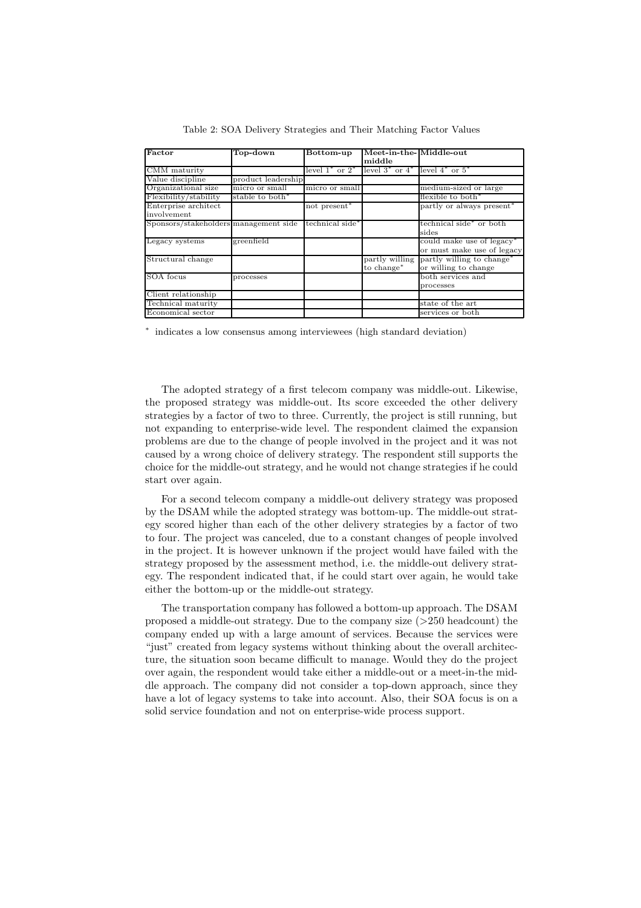| Factor                                | Top-down                    | Bottom-up                   | Meet-in-the-Middle-out                    |                                                      |
|---------------------------------------|-----------------------------|-----------------------------|-------------------------------------------|------------------------------------------------------|
|                                       |                             |                             |                                           |                                                      |
|                                       |                             |                             | middle                                    |                                                      |
| CMM maturity                          |                             | level $1^*$ or $2^*$        | level $3^*$ or $4^*$ level $4^*$ or $5^*$ |                                                      |
| Value discipline                      | product leadership          |                             |                                           |                                                      |
| Organizational size                   | micro or small              | micro or small              |                                           | medium-sized or large                                |
| Flexibility/stability                 | stable to both <sup>*</sup> |                             |                                           | flexible to both*                                    |
| Enterprise architect                  |                             | not present <sup>*</sup>    |                                           | partly or always present <sup>*</sup>                |
| involvement                           |                             |                             |                                           |                                                      |
| Sponsors/stakeholders management side |                             | technical side <sup>*</sup> |                                           | technical side <sup>*</sup> or both                  |
|                                       |                             |                             |                                           | sides                                                |
| Legacy systems                        | greenfield                  |                             |                                           | could make use of legacy <sup>*</sup>                |
|                                       |                             |                             |                                           | or must make use of legacy                           |
| Structural change                     |                             |                             |                                           | partly willing partly willing to change <sup>*</sup> |
|                                       |                             |                             | to change*                                | or willing to change                                 |
| SOA focus                             | processes                   |                             |                                           | both services and                                    |
|                                       |                             |                             |                                           | processes                                            |
| Client relationship                   |                             |                             |                                           |                                                      |
| Technical maturity                    |                             |                             |                                           | state of the art                                     |
| Economical sector                     |                             |                             |                                           | services or both                                     |

Table 2: SOA Delivery Strategies and Their Matching Factor Values

∗ indicates a low consensus among interviewees (high standard deviation)

The adopted strategy of a first telecom company was middle-out. Likewise, the proposed strategy was middle-out. Its score exceeded the other delivery strategies by a factor of two to three. Currently, the project is still running, but not expanding to enterprise-wide level. The respondent claimed the expansion problems are due to the change of people involved in the project and it was not caused by a wrong choice of delivery strategy. The respondent still supports the choice for the middle-out strategy, and he would not change strategies if he could start over again.

For a second telecom company a middle-out delivery strategy was proposed by the DSAM while the adopted strategy was bottom-up. The middle-out strategy scored higher than each of the other delivery strategies by a factor of two to four. The project was canceled, due to a constant changes of people involved in the project. It is however unknown if the project would have failed with the strategy proposed by the assessment method, i.e. the middle-out delivery strategy. The respondent indicated that, if he could start over again, he would take either the bottom-up or the middle-out strategy.

The transportation company has followed a bottom-up approach. The DSAM proposed a middle-out strategy. Due to the company size  $(>250 \text{ headcount})$  the company ended up with a large amount of services. Because the services were "just" created from legacy systems without thinking about the overall architecture, the situation soon became difficult to manage. Would they do the project over again, the respondent would take either a middle-out or a meet-in-the middle approach. The company did not consider a top-down approach, since they have a lot of legacy systems to take into account. Also, their SOA focus is on a solid service foundation and not on enterprise-wide process support.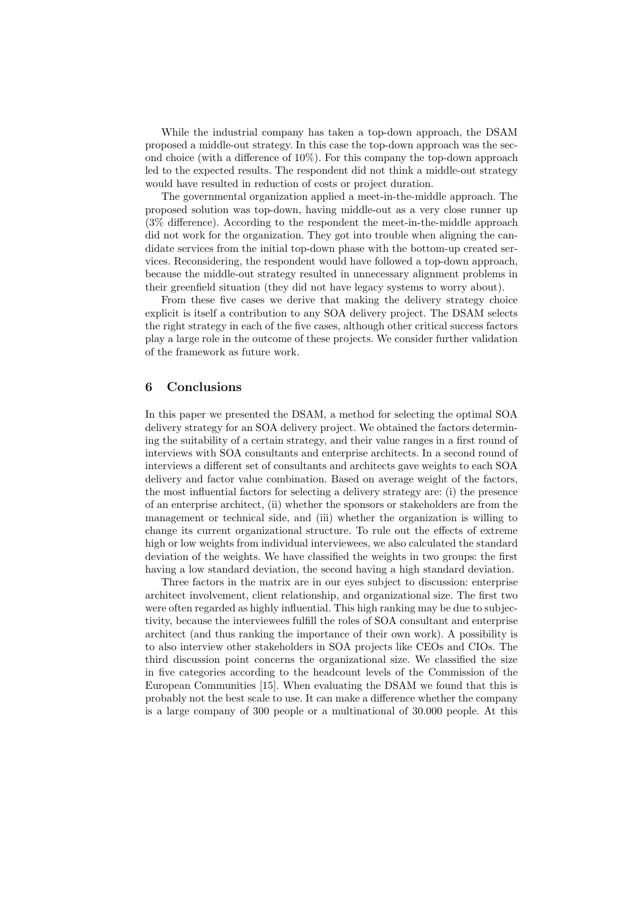While the industrial company has taken a top-down approach, the DSAM proposed a middle-out strategy. In this case the top-down approach was the second choice (with a difference of 10%). For this company the top-down approach led to the expected results. The respondent did not think a middle-out strategy would have resulted in reduction of costs or project duration.

The governmental organization applied a meet-in-the-middle approach. The proposed solution was top-down, having middle-out as a very close runner up (3% difference). According to the respondent the meet-in-the-middle approach did not work for the organization. They got into trouble when aligning the candidate services from the initial top-down phase with the bottom-up created services. Reconsidering, the respondent would have followed a top-down approach, because the middle-out strategy resulted in unnecessary alignment problems in their greenfield situation (they did not have legacy systems to worry about).

From these five cases we derive that making the delivery strategy choice explicit is itself a contribution to any SOA delivery project. The DSAM selects the right strategy in each of the five cases, although other critical success factors play a large role in the outcome of these projects. We consider further validation of the framework as future work.

## 6 Conclusions

In this paper we presented the DSAM, a method for selecting the optimal SOA delivery strategy for an SOA delivery project. We obtained the factors determining the suitability of a certain strategy, and their value ranges in a first round of interviews with SOA consultants and enterprise architects. In a second round of interviews a different set of consultants and architects gave weights to each SOA delivery and factor value combination. Based on average weight of the factors, the most influential factors for selecting a delivery strategy are: (i) the presence of an enterprise architect, (ii) whether the sponsors or stakeholders are from the management or technical side, and (iii) whether the organization is willing to change its current organizational structure. To rule out the effects of extreme high or low weights from individual interviewees, we also calculated the standard deviation of the weights. We have classified the weights in two groups: the first having a low standard deviation, the second having a high standard deviation.

Three factors in the matrix are in our eyes subject to discussion: enterprise architect involvement, client relationship, and organizational size. The first two were often regarded as highly influential. This high ranking may be due to subjectivity, because the interviewees fulfill the roles of SOA consultant and enterprise architect (and thus ranking the importance of their own work). A possibility is to also interview other stakeholders in SOA projects like CEOs and CIOs. The third discussion point concerns the organizational size. We classified the size in five categories according to the headcount levels of the Commission of the European Communities [15]. When evaluating the DSAM we found that this is probably not the best scale to use. It can make a difference whether the company is a large company of 300 people or a multinational of 30.000 people. At this